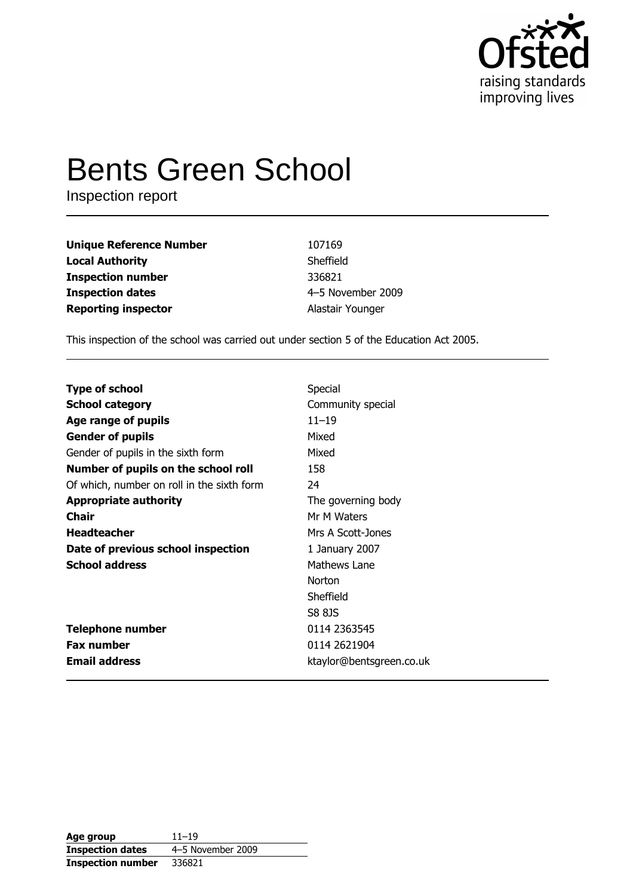

# **Bents Green School**

Inspection report

| <b>Unique Reference Number</b> | 107169            |
|--------------------------------|-------------------|
| <b>Local Authority</b>         | Sheffield         |
| <b>Inspection number</b>       | 336821            |
| <b>Inspection dates</b>        | 4-5 November 2009 |
| <b>Reporting inspector</b>     | Alastair Younger  |

This inspection of the school was carried out under section 5 of the Education Act 2005.

| <b>Type of school</b>                      | Special                  |
|--------------------------------------------|--------------------------|
| <b>School category</b>                     | Community special        |
| Age range of pupils                        | $11 - 19$                |
| <b>Gender of pupils</b>                    | Mixed                    |
| Gender of pupils in the sixth form         | Mixed                    |
| Number of pupils on the school roll        | 158                      |
| Of which, number on roll in the sixth form | 24                       |
| <b>Appropriate authority</b>               | The governing body       |
| <b>Chair</b>                               | Mr M Waters              |
| <b>Headteacher</b>                         | Mrs A Scott-Jones        |
| Date of previous school inspection         | 1 January 2007           |
| <b>School address</b>                      | Mathews Lane             |
|                                            | <b>Norton</b>            |
|                                            | Sheffield                |
|                                            | S8 8JS                   |
| <b>Telephone number</b>                    | 0114 2363545             |
| <b>Fax number</b>                          | 0114 2621904             |
| <b>Email address</b>                       | ktaylor@bentsgreen.co.uk |

| Age group                | $11 - 19$         |
|--------------------------|-------------------|
| <b>Inspection dates</b>  | 4-5 November 2009 |
| <b>Inspection number</b> | 336821            |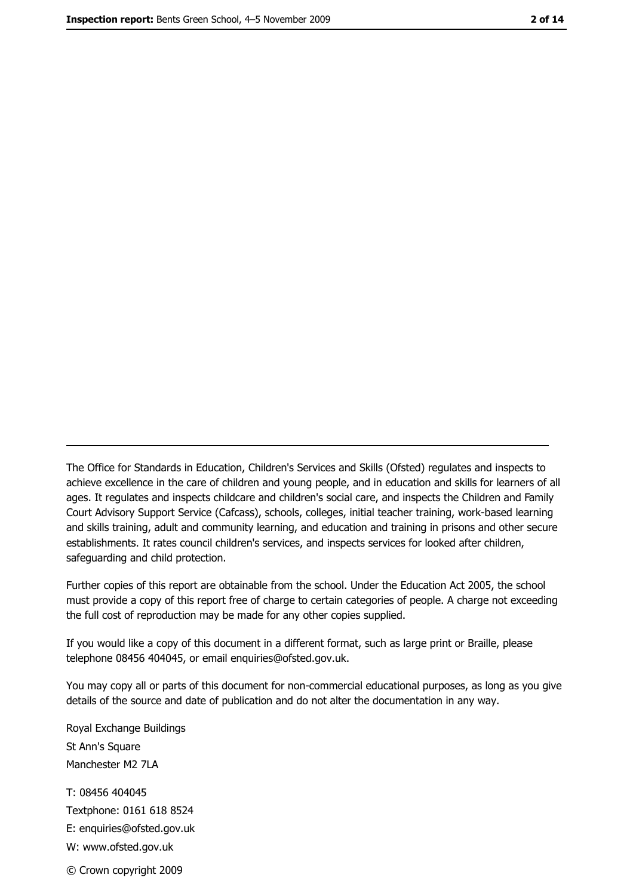The Office for Standards in Education, Children's Services and Skills (Ofsted) regulates and inspects to achieve excellence in the care of children and young people, and in education and skills for learners of all ages. It regulates and inspects childcare and children's social care, and inspects the Children and Family Court Advisory Support Service (Cafcass), schools, colleges, initial teacher training, work-based learning and skills training, adult and community learning, and education and training in prisons and other secure establishments. It rates council children's services, and inspects services for looked after children, safequarding and child protection.

Further copies of this report are obtainable from the school. Under the Education Act 2005, the school must provide a copy of this report free of charge to certain categories of people. A charge not exceeding the full cost of reproduction may be made for any other copies supplied.

If you would like a copy of this document in a different format, such as large print or Braille, please telephone 08456 404045, or email enquiries@ofsted.gov.uk.

You may copy all or parts of this document for non-commercial educational purposes, as long as you give details of the source and date of publication and do not alter the documentation in any way.

Royal Exchange Buildings St Ann's Square Manchester M2 7LA T: 08456 404045 Textphone: 0161 618 8524 E: enquiries@ofsted.gov.uk W: www.ofsted.gov.uk © Crown copyright 2009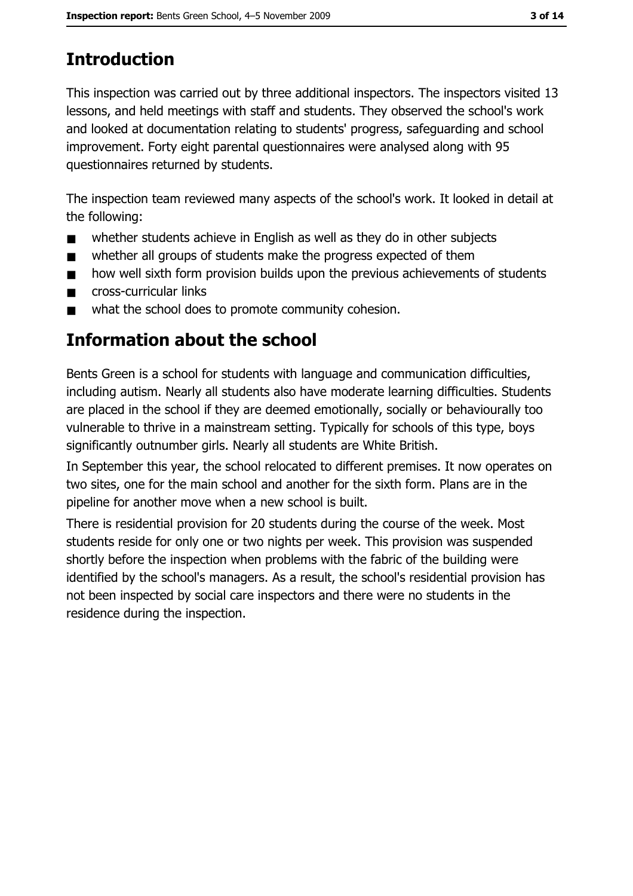# **Introduction**

This inspection was carried out by three additional inspectors. The inspectors visited 13 lessons, and held meetings with staff and students. They observed the school's work and looked at documentation relating to students' progress, safeguarding and school improvement. Forty eight parental questionnaires were analysed along with 95 questionnaires returned by students.

The inspection team reviewed many aspects of the school's work. It looked in detail at the following:

- whether students achieve in English as well as they do in other subjects  $\blacksquare$
- whether all groups of students make the progress expected of them  $\blacksquare$
- how well sixth form provision builds upon the previous achievements of students  $\blacksquare$
- cross-curricular links  $\blacksquare$
- what the school does to promote community cohesion.  $\blacksquare$

# Information about the school

Bents Green is a school for students with language and communication difficulties, including autism. Nearly all students also have moderate learning difficulties. Students are placed in the school if they are deemed emotionally, socially or behaviourally too vulnerable to thrive in a mainstream setting. Typically for schools of this type, boys significantly outnumber girls. Nearly all students are White British.

In September this year, the school relocated to different premises. It now operates on two sites, one for the main school and another for the sixth form. Plans are in the pipeline for another move when a new school is built.

There is residential provision for 20 students during the course of the week. Most students reside for only one or two nights per week. This provision was suspended shortly before the inspection when problems with the fabric of the building were identified by the school's managers. As a result, the school's residential provision has not been inspected by social care inspectors and there were no students in the residence during the inspection.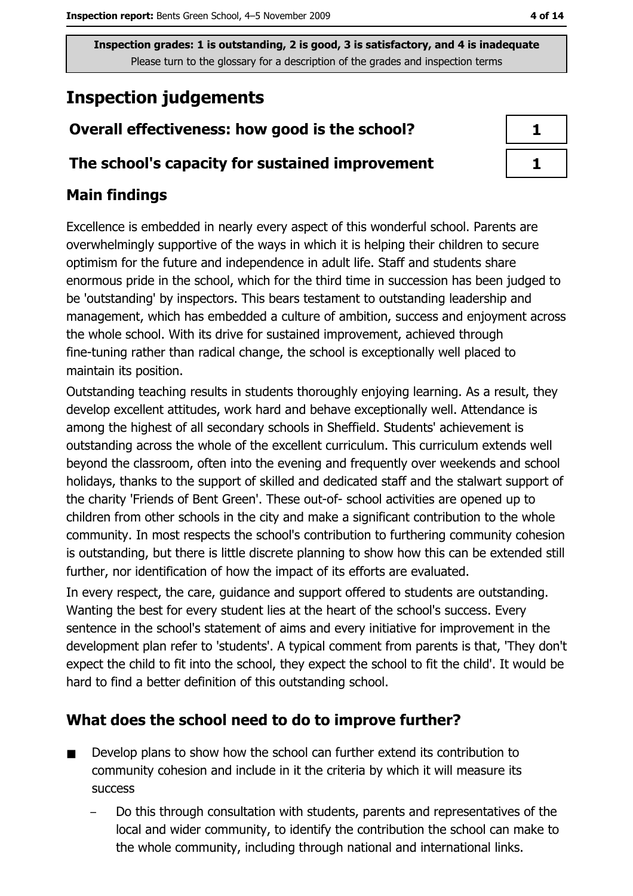# **Inspection judgements**

# Overall effectiveness: how good is the school?

#### The school's capacity for sustained improvement

## **Main findings**

Excellence is embedded in nearly every aspect of this wonderful school. Parents are overwhelmingly supportive of the ways in which it is helping their children to secure optimism for the future and independence in adult life. Staff and students share enormous pride in the school, which for the third time in succession has been judged to be 'outstanding' by inspectors. This bears testament to outstanding leadership and management, which has embedded a culture of ambition, success and enjoyment across the whole school. With its drive for sustained improvement, achieved through fine-tuning rather than radical change, the school is exceptionally well placed to maintain its position.

Outstanding teaching results in students thoroughly enjoying learning. As a result, they develop excellent attitudes, work hard and behave exceptionally well. Attendance is among the highest of all secondary schools in Sheffield. Students' achievement is outstanding across the whole of the excellent curriculum. This curriculum extends well beyond the classroom, often into the evening and frequently over weekends and school holidays, thanks to the support of skilled and dedicated staff and the stalwart support of the charity 'Friends of Bent Green'. These out-of-school activities are opened up to children from other schools in the city and make a significant contribution to the whole community. In most respects the school's contribution to furthering community cohesion is outstanding, but there is little discrete planning to show how this can be extended still further, nor identification of how the impact of its efforts are evaluated.

In every respect, the care, guidance and support offered to students are outstanding. Wanting the best for every student lies at the heart of the school's success. Every sentence in the school's statement of aims and every initiative for improvement in the development plan refer to 'students'. A typical comment from parents is that, 'They don't expect the child to fit into the school, they expect the school to fit the child'. It would be hard to find a better definition of this outstanding school.

## What does the school need to do to improve further?

- Develop plans to show how the school can further extend its contribution to  $\blacksquare$ community cohesion and include in it the criteria by which it will measure its **SUCCESS** 
	- Do this through consultation with students, parents and representatives of the local and wider community, to identify the contribution the school can make to the whole community, including through national and international links.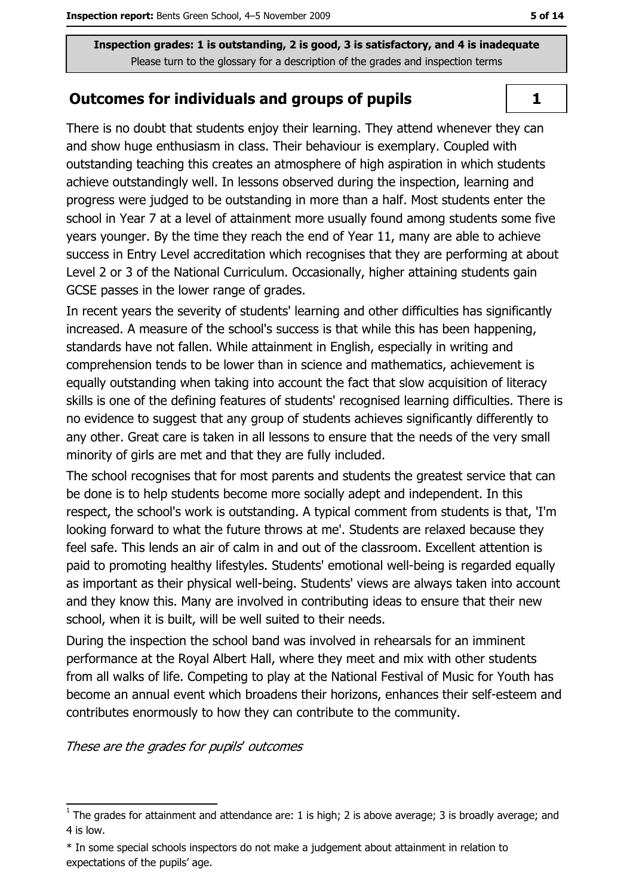#### **Outcomes for individuals and groups of pupils**

There is no doubt that students enjoy their learning. They attend whenever they can and show huge enthusiasm in class. Their behaviour is exemplary. Coupled with outstanding teaching this creates an atmosphere of high aspiration in which students achieve outstandingly well. In lessons observed during the inspection, learning and progress were judged to be outstanding in more than a half. Most students enter the school in Year 7 at a level of attainment more usually found among students some five years younger. By the time they reach the end of Year 11, many are able to achieve success in Entry Level accreditation which recognises that they are performing at about Level 2 or 3 of the National Curriculum. Occasionally, higher attaining students gain GCSE passes in the lower range of grades.

In recent years the severity of students' learning and other difficulties has significantly increased. A measure of the school's success is that while this has been happening, standards have not fallen. While attainment in English, especially in writing and comprehension tends to be lower than in science and mathematics, achievement is equally outstanding when taking into account the fact that slow acquisition of literacy skills is one of the defining features of students' recognised learning difficulties. There is no evidence to suggest that any group of students achieves significantly differently to any other. Great care is taken in all lessons to ensure that the needs of the very small minority of girls are met and that they are fully included.

The school recognises that for most parents and students the greatest service that can be done is to help students become more socially adept and independent. In this respect, the school's work is outstanding. A typical comment from students is that, 'I'm looking forward to what the future throws at me'. Students are relaxed because they feel safe. This lends an air of calm in and out of the classroom. Excellent attention is paid to promoting healthy lifestyles. Students' emotional well-being is regarded equally as important as their physical well-being. Students' views are always taken into account and they know this. Many are involved in contributing ideas to ensure that their new school, when it is built, will be well suited to their needs.

During the inspection the school band was involved in rehearsals for an imminent performance at the Roval Albert Hall, where they meet and mix with other students from all walks of life. Competing to play at the National Festival of Music for Youth has become an annual event which broadens their horizons, enhances their self-esteem and contributes enormously to how they can contribute to the community.

These are the grades for pupils' outcomes

 $\mathbf{1}$ 

 $\overline{1}$  The grades for attainment and attendance are: 1 is high; 2 is above average; 3 is broadly average; and 4 is low.

<sup>\*</sup> In some special schools inspectors do not make a judgement about attainment in relation to expectations of the pupils' age.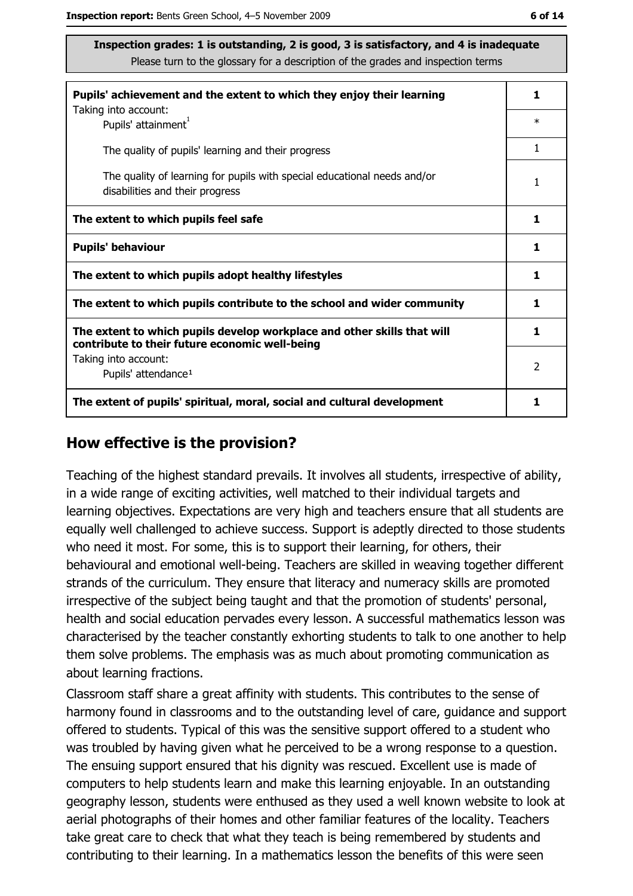| ۰.<br>۰. |  |
|----------|--|
|----------|--|

| Pupils' achievement and the extent to which they enjoy their learning                                                     |        |  |
|---------------------------------------------------------------------------------------------------------------------------|--------|--|
| Taking into account:<br>Pupils' attainment <sup>1</sup>                                                                   | $\ast$ |  |
| The quality of pupils' learning and their progress                                                                        | 1      |  |
| The quality of learning for pupils with special educational needs and/or<br>disabilities and their progress               |        |  |
| The extent to which pupils feel safe                                                                                      | 1      |  |
| <b>Pupils' behaviour</b>                                                                                                  | 1      |  |
| The extent to which pupils adopt healthy lifestyles                                                                       | 1      |  |
| The extent to which pupils contribute to the school and wider community                                                   |        |  |
| The extent to which pupils develop workplace and other skills that will<br>contribute to their future economic well-being | 1      |  |
| Taking into account:<br>Pupils' attendance <sup>1</sup>                                                                   | 2      |  |
| The extent of pupils' spiritual, moral, social and cultural development                                                   |        |  |

#### How effective is the provision?

Teaching of the highest standard prevails. It involves all students, irrespective of ability, in a wide range of exciting activities, well matched to their individual targets and learning objectives. Expectations are very high and teachers ensure that all students are equally well challenged to achieve success. Support is adeptly directed to those students who need it most. For some, this is to support their learning, for others, their behavioural and emotional well-being. Teachers are skilled in weaving together different strands of the curriculum. They ensure that literacy and numeracy skills are promoted irrespective of the subject being taught and that the promotion of students' personal, health and social education pervades every lesson. A successful mathematics lesson was characterised by the teacher constantly exhorting students to talk to one another to help them solve problems. The emphasis was as much about promoting communication as about learning fractions.

Classroom staff share a great affinity with students. This contributes to the sense of harmony found in classrooms and to the outstanding level of care, guidance and support offered to students. Typical of this was the sensitive support offered to a student who was troubled by having given what he perceived to be a wrong response to a question. The ensuing support ensured that his dignity was rescued. Excellent use is made of computers to help students learn and make this learning enjoyable. In an outstanding geography lesson, students were enthused as they used a well known website to look at aerial photographs of their homes and other familiar features of the locality. Teachers take great care to check that what they teach is being remembered by students and contributing to their learning. In a mathematics lesson the benefits of this were seen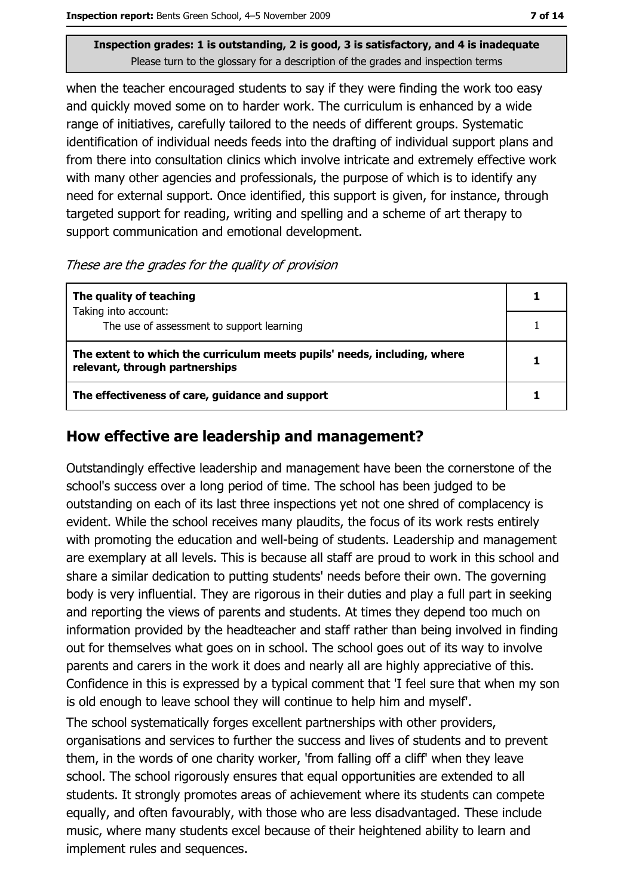when the teacher encouraged students to say if they were finding the work too easy and quickly moved some on to harder work. The curriculum is enhanced by a wide range of initiatives, carefully tailored to the needs of different groups. Systematic identification of individual needs feeds into the drafting of individual support plans and from there into consultation clinics which involve intricate and extremely effective work with many other agencies and professionals, the purpose of which is to identify any need for external support. Once identified, this support is given, for instance, through targeted support for reading, writing and spelling and a scheme of art therapy to support communication and emotional development.

These are the grades for the quality of provision

| The quality of teaching                                                                                    |  |
|------------------------------------------------------------------------------------------------------------|--|
| Taking into account:                                                                                       |  |
| The use of assessment to support learning                                                                  |  |
| The extent to which the curriculum meets pupils' needs, including, where<br>relevant, through partnerships |  |
| The effectiveness of care, guidance and support                                                            |  |

#### How effective are leadership and management?

Outstandingly effective leadership and management have been the cornerstone of the school's success over a long period of time. The school has been judged to be outstanding on each of its last three inspections yet not one shred of complacency is evident. While the school receives many plaudits, the focus of its work rests entirely with promoting the education and well-being of students. Leadership and management are exemplary at all levels. This is because all staff are proud to work in this school and share a similar dedication to putting students' needs before their own. The governing body is very influential. They are rigorous in their duties and play a full part in seeking and reporting the views of parents and students. At times they depend too much on information provided by the headteacher and staff rather than being involved in finding out for themselves what goes on in school. The school goes out of its way to involve parents and carers in the work it does and nearly all are highly appreciative of this. Confidence in this is expressed by a typical comment that 'I feel sure that when my son is old enough to leave school they will continue to help him and myself.

The school systematically forges excellent partnerships with other providers, organisations and services to further the success and lives of students and to prevent them, in the words of one charity worker, 'from falling off a cliff' when they leave school. The school rigorously ensures that equal opportunities are extended to all students. It strongly promotes areas of achievement where its students can compete equally, and often favourably, with those who are less disadvantaged. These include music, where many students excel because of their heightened ability to learn and implement rules and sequences.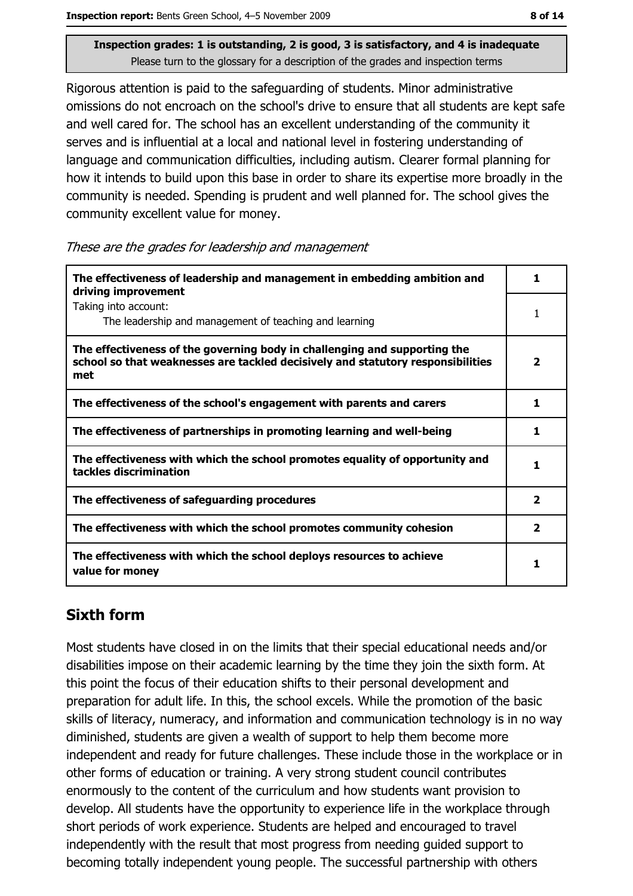Rigorous attention is paid to the safeguarding of students. Minor administrative omissions do not encroach on the school's drive to ensure that all students are kept safe and well cared for. The school has an excellent understanding of the community it serves and is influential at a local and national level in fostering understanding of language and communication difficulties, including autism. Clearer formal planning for how it intends to build upon this base in order to share its expertise more broadly in the community is needed. Spending is prudent and well planned for. The school gives the community excellent value for money.

These are the grades for leadership and management

| The effectiveness of leadership and management in embedding ambition and<br>driving improvement                                                                     |                         |  |
|---------------------------------------------------------------------------------------------------------------------------------------------------------------------|-------------------------|--|
| Taking into account:<br>The leadership and management of teaching and learning                                                                                      |                         |  |
| The effectiveness of the governing body in challenging and supporting the<br>school so that weaknesses are tackled decisively and statutory responsibilities<br>met | 2                       |  |
| The effectiveness of the school's engagement with parents and carers                                                                                                | 1                       |  |
| The effectiveness of partnerships in promoting learning and well-being                                                                                              | 1                       |  |
| The effectiveness with which the school promotes equality of opportunity and<br>tackles discrimination                                                              | 1                       |  |
| The effectiveness of safeguarding procedures                                                                                                                        | 2                       |  |
| The effectiveness with which the school promotes community cohesion                                                                                                 | $\overline{\mathbf{2}}$ |  |
| The effectiveness with which the school deploys resources to achieve<br>value for money                                                                             | ъ                       |  |

## **Sixth form**

Most students have closed in on the limits that their special educational needs and/or disabilities impose on their academic learning by the time they join the sixth form. At this point the focus of their education shifts to their personal development and preparation for adult life. In this, the school excels. While the promotion of the basic skills of literacy, numeracy, and information and communication technology is in no way diminished, students are given a wealth of support to help them become more independent and ready for future challenges. These include those in the workplace or in other forms of education or training. A very strong student council contributes enormously to the content of the curriculum and how students want provision to develop. All students have the opportunity to experience life in the workplace through short periods of work experience. Students are helped and encouraged to travel independently with the result that most progress from needing quided support to becoming totally independent young people. The successful partnership with others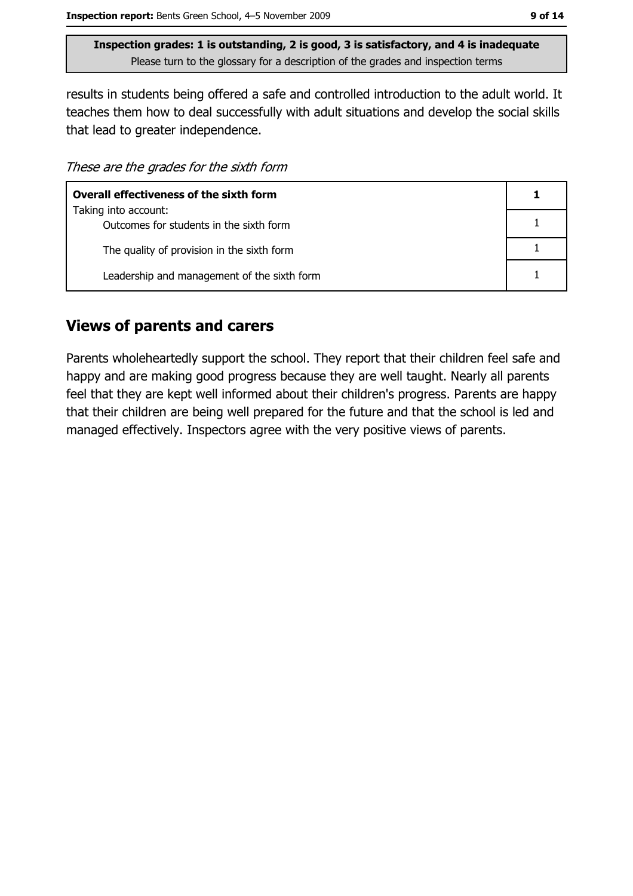results in students being offered a safe and controlled introduction to the adult world. It teaches them how to deal successfully with adult situations and develop the social skills that lead to greater independence.

These are the grades for the sixth form

| <b>Overall effectiveness of the sixth form</b> |  |  |
|------------------------------------------------|--|--|
| Taking into account:                           |  |  |
| Outcomes for students in the sixth form        |  |  |
| The quality of provision in the sixth form     |  |  |
| Leadership and management of the sixth form    |  |  |

#### **Views of parents and carers**

Parents wholeheartedly support the school. They report that their children feel safe and happy and are making good progress because they are well taught. Nearly all parents feel that they are kept well informed about their children's progress. Parents are happy that their children are being well prepared for the future and that the school is led and managed effectively. Inspectors agree with the very positive views of parents.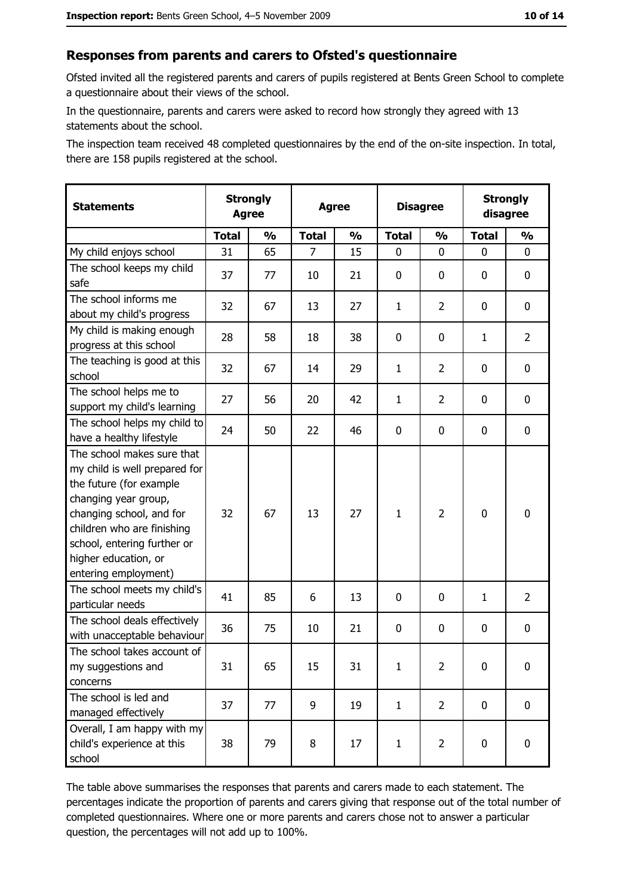#### Responses from parents and carers to Ofsted's questionnaire

Ofsted invited all the registered parents and carers of pupils registered at Bents Green School to complete a questionnaire about their views of the school.

In the questionnaire, parents and carers were asked to record how strongly they agreed with 13 statements about the school.

The inspection team received 48 completed questionnaires by the end of the on-site inspection. In total, there are 158 pupils registered at the school.

| <b>Statements</b>                                                                                                                                                                                                                                       | <b>Strongly</b><br><b>Agree</b> |               |              |               | <b>Disagree</b><br><b>Agree</b> |                |              |                |  |  |  | <b>Strongly</b><br>disagree |
|---------------------------------------------------------------------------------------------------------------------------------------------------------------------------------------------------------------------------------------------------------|---------------------------------|---------------|--------------|---------------|---------------------------------|----------------|--------------|----------------|--|--|--|-----------------------------|
|                                                                                                                                                                                                                                                         | <b>Total</b>                    | $\frac{0}{0}$ | <b>Total</b> | $\frac{0}{0}$ | <b>Total</b>                    | $\frac{0}{0}$  | <b>Total</b> | $\frac{0}{0}$  |  |  |  |                             |
| My child enjoys school                                                                                                                                                                                                                                  | 31                              | 65            | 7            | 15            | $\mathbf 0$                     | 0              | 0            | 0              |  |  |  |                             |
| The school keeps my child<br>safe                                                                                                                                                                                                                       | 37                              | 77            | 10           | 21            | $\mathbf 0$                     | 0              | 0            | 0              |  |  |  |                             |
| The school informs me<br>about my child's progress                                                                                                                                                                                                      | 32                              | 67            | 13           | 27            | $\mathbf{1}$                    | $\overline{2}$ | $\mathbf{0}$ | 0              |  |  |  |                             |
| My child is making enough<br>progress at this school                                                                                                                                                                                                    | 28                              | 58            | 18           | 38            | $\mathbf 0$                     | 0              | 1            | $\overline{2}$ |  |  |  |                             |
| The teaching is good at this<br>school                                                                                                                                                                                                                  | 32                              | 67            | 14           | 29            | $\mathbf{1}$                    | $\overline{2}$ | 0            | 0              |  |  |  |                             |
| The school helps me to<br>support my child's learning                                                                                                                                                                                                   | 27                              | 56            | 20           | 42            | $\mathbf{1}$                    | $\overline{2}$ | 0            | 0              |  |  |  |                             |
| The school helps my child to<br>have a healthy lifestyle                                                                                                                                                                                                | 24                              | 50            | 22           | 46            | $\mathbf 0$                     | 0              | 0            | 0              |  |  |  |                             |
| The school makes sure that<br>my child is well prepared for<br>the future (for example<br>changing year group,<br>changing school, and for<br>children who are finishing<br>school, entering further or<br>higher education, or<br>entering employment) | 32                              | 67            | 13           | 27            | $\mathbf{1}$                    | $\overline{2}$ | $\mathbf 0$  | 0              |  |  |  |                             |
| The school meets my child's<br>particular needs                                                                                                                                                                                                         | 41                              | 85            | 6            | 13            | $\mathbf 0$                     | 0              | $\mathbf{1}$ | $\overline{2}$ |  |  |  |                             |
| The school deals effectively<br>with unacceptable behaviour                                                                                                                                                                                             | 36                              | 75            | 10           | 21            | $\mathbf 0$                     | 0              | 0            | 0              |  |  |  |                             |
| The school takes account of<br>my suggestions and<br>concerns                                                                                                                                                                                           | 31                              | 65            | 15           | 31            | $\mathbf{1}$                    | 2              | 0            | 0              |  |  |  |                             |
| The school is led and<br>managed effectively                                                                                                                                                                                                            | 37                              | 77            | 9            | 19            | $\mathbf{1}$                    | $\overline{2}$ | 0            | $\mathbf 0$    |  |  |  |                             |
| Overall, I am happy with my<br>child's experience at this<br>school                                                                                                                                                                                     | 38                              | 79            | 8            | 17            | $\mathbf{1}$                    | $\overline{2}$ | 0            | 0              |  |  |  |                             |

The table above summarises the responses that parents and carers made to each statement. The percentages indicate the proportion of parents and carers giving that response out of the total number of completed questionnaires. Where one or more parents and carers chose not to answer a particular question, the percentages will not add up to 100%.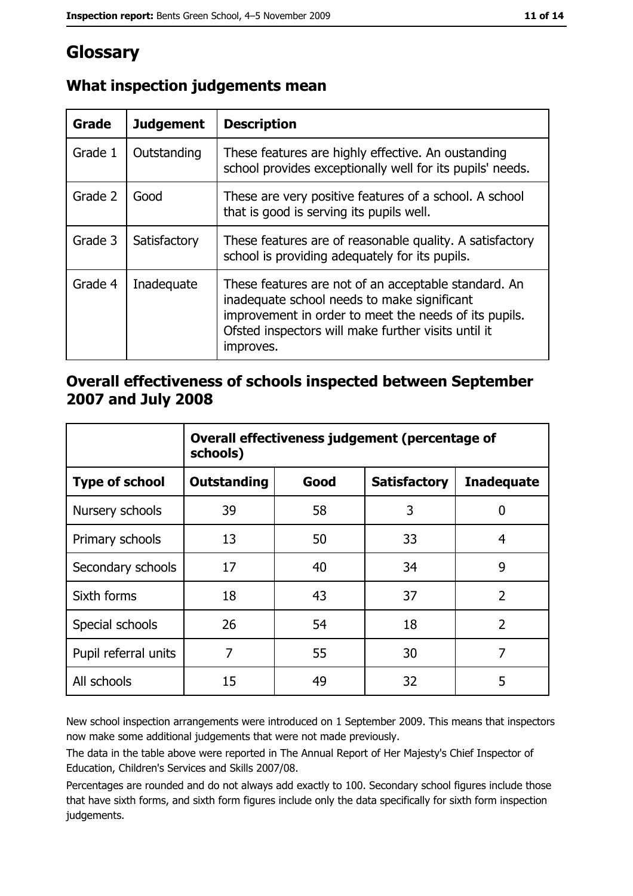# Glossary

| Grade   | <b>Judgement</b> | <b>Description</b>                                                                                                                                                                                                               |
|---------|------------------|----------------------------------------------------------------------------------------------------------------------------------------------------------------------------------------------------------------------------------|
| Grade 1 | Outstanding      | These features are highly effective. An oustanding<br>school provides exceptionally well for its pupils' needs.                                                                                                                  |
| Grade 2 | Good             | These are very positive features of a school. A school<br>that is good is serving its pupils well.                                                                                                                               |
| Grade 3 | Satisfactory     | These features are of reasonable quality. A satisfactory<br>school is providing adequately for its pupils.                                                                                                                       |
| Grade 4 | Inadequate       | These features are not of an acceptable standard. An<br>inadequate school needs to make significant<br>improvement in order to meet the needs of its pupils.<br>Ofsted inspectors will make further visits until it<br>improves. |

## What inspection judgements mean

### Overall effectiveness of schools inspected between September 2007 and July 2008

|                       | Overall effectiveness judgement (percentage of<br>schools) |      |                     |                   |  |
|-----------------------|------------------------------------------------------------|------|---------------------|-------------------|--|
| <b>Type of school</b> | <b>Outstanding</b>                                         | Good | <b>Satisfactory</b> | <b>Inadequate</b> |  |
| Nursery schools       | 39                                                         | 58   | 3                   | 0                 |  |
| Primary schools       | 13                                                         | 50   | 33                  | 4                 |  |
| Secondary schools     | 17                                                         | 40   | 34                  | 9                 |  |
| Sixth forms           | 18                                                         | 43   | 37                  | $\overline{2}$    |  |
| Special schools       | 26                                                         | 54   | 18                  | $\overline{2}$    |  |
| Pupil referral units  | 7                                                          | 55   | 30                  | 7                 |  |
| All schools           | 15                                                         | 49   | 32                  | 5                 |  |

New school inspection arrangements were introduced on 1 September 2009. This means that inspectors now make some additional judgements that were not made previously.

The data in the table above were reported in The Annual Report of Her Majesty's Chief Inspector of Education, Children's Services and Skills 2007/08.

Percentages are rounded and do not always add exactly to 100. Secondary school figures include those that have sixth forms, and sixth form figures include only the data specifically for sixth form inspection judgements.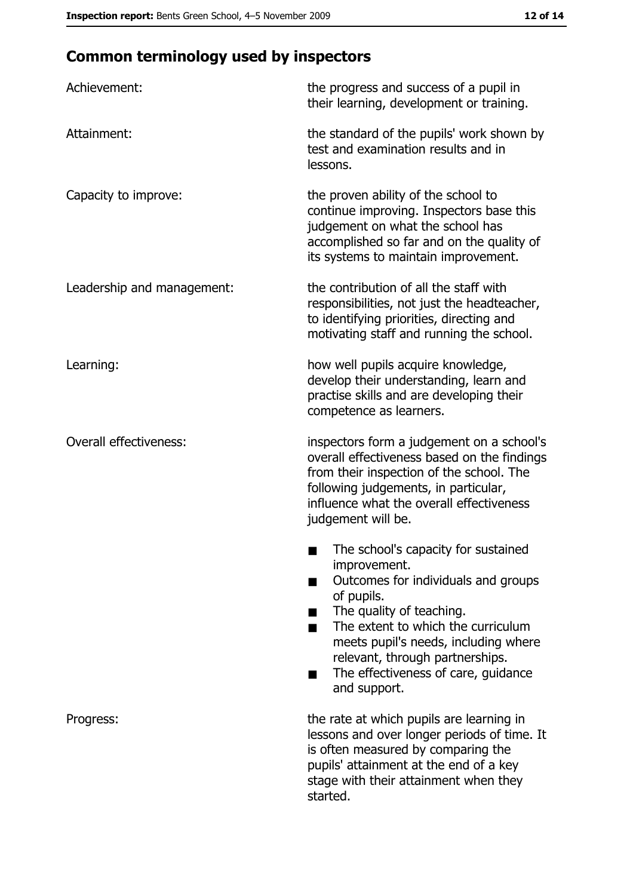# **Common terminology used by inspectors**

| Achievement:                  | the progress and success of a pupil in<br>their learning, development or training.                                                                                                                                                                                                                           |
|-------------------------------|--------------------------------------------------------------------------------------------------------------------------------------------------------------------------------------------------------------------------------------------------------------------------------------------------------------|
| Attainment:                   | the standard of the pupils' work shown by<br>test and examination results and in<br>lessons.                                                                                                                                                                                                                 |
| Capacity to improve:          | the proven ability of the school to<br>continue improving. Inspectors base this<br>judgement on what the school has<br>accomplished so far and on the quality of<br>its systems to maintain improvement.                                                                                                     |
| Leadership and management:    | the contribution of all the staff with<br>responsibilities, not just the headteacher,<br>to identifying priorities, directing and<br>motivating staff and running the school.                                                                                                                                |
| Learning:                     | how well pupils acquire knowledge,<br>develop their understanding, learn and<br>practise skills and are developing their<br>competence as learners.                                                                                                                                                          |
| <b>Overall effectiveness:</b> | inspectors form a judgement on a school's<br>overall effectiveness based on the findings<br>from their inspection of the school. The<br>following judgements, in particular,<br>influence what the overall effectiveness<br>judgement will be.                                                               |
|                               | The school's capacity for sustained<br>improvement.<br>Outcomes for individuals and groups<br>of pupils.<br>The quality of teaching.<br>The extent to which the curriculum<br>meets pupil's needs, including where<br>relevant, through partnerships.<br>The effectiveness of care, guidance<br>and support. |
| Progress:                     | the rate at which pupils are learning in<br>lessons and over longer periods of time. It<br>is often measured by comparing the<br>pupils' attainment at the end of a key<br>stage with their attainment when they<br>started.                                                                                 |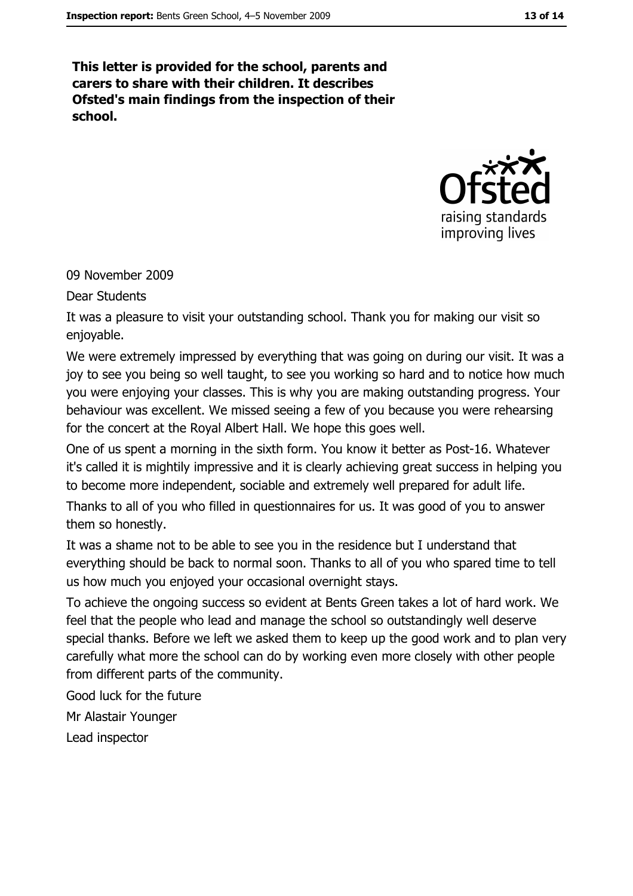This letter is provided for the school, parents and carers to share with their children. It describes Ofsted's main findings from the inspection of their school.



09 November 2009

**Dear Students** 

It was a pleasure to visit your outstanding school. Thank you for making our visit so enjoyable.

We were extremely impressed by everything that was going on during our visit. It was a joy to see you being so well taught, to see you working so hard and to notice how much you were enjoying your classes. This is why you are making outstanding progress. Your behaviour was excellent. We missed seeing a few of you because you were rehearsing for the concert at the Royal Albert Hall. We hope this goes well.

One of us spent a morning in the sixth form. You know it better as Post-16. Whatever it's called it is mightily impressive and it is clearly achieving great success in helping you to become more independent, sociable and extremely well prepared for adult life.

Thanks to all of you who filled in questionnaires for us. It was good of you to answer them so honestly.

It was a shame not to be able to see you in the residence but I understand that everything should be back to normal soon. Thanks to all of you who spared time to tell us how much you enjoyed your occasional overnight stays.

To achieve the ongoing success so evident at Bents Green takes a lot of hard work. We feel that the people who lead and manage the school so outstandingly well deserve special thanks. Before we left we asked them to keep up the good work and to plan very carefully what more the school can do by working even more closely with other people from different parts of the community.

Good luck for the future

Mr Alastair Younger

Lead inspector